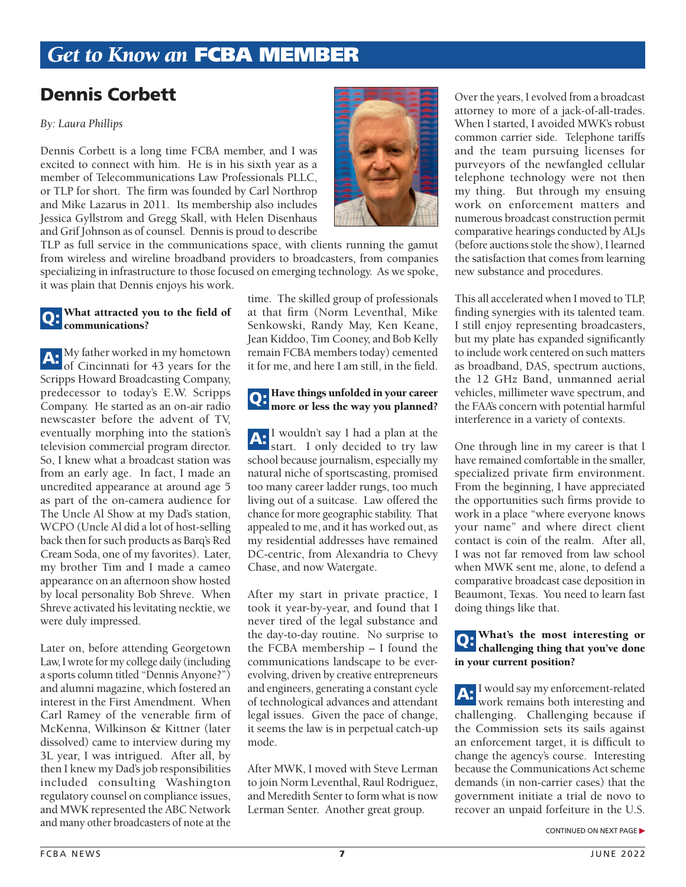# *Get to Know an* FCBA MEMBER

## Dennis Corbett

#### *By: Laura Phillips*

Dennis Corbett is a long time FCBA member, and I was excited to connect with him. He is in his sixth year as a member of Telecommunications Law Professionals PLLC, or TLP for short. The firm was founded by Carl Northrop and Mike Lazarus in 2011. Its membership also includes Jessica Gyllstrom and Gregg Skall, with Helen Disenhaus and Grif Johnson as of counsel. Dennis is proud to describe

TLP as full service in the communications space, with clients running the gamut from wireless and wireline broadband providers to broadcasters, from companies specializing in infrastructure to those focused on emerging technology. As we spoke, it was plain that Dennis enjoys his work.

#### **Q:** What attracted you to the field of communications?

A: My father worked in my hometown of Cincinnati for 43 years for the Scripps Howard Broadcasting Company, predecessor to today's E.W. Scripps Company. He started as an on-air radio newscaster before the advent of TV, eventually morphing into the station's television commercial program director. So, I knew what a broadcast station was from an early age. In fact, I made an uncredited appearance at around age 5 as part of the on-camera audience for The Uncle Al Show at my Dad's station, WCPO (Uncle Al did a lot of host-selling back then for such products as Barq's Red Cream Soda, one of my favorites). Later, my brother Tim and I made a cameo appearance on an afternoon show hosted by local personality Bob Shreve. When Shreve activated his levitating necktie, we were duly impressed.

Later on, before attending Georgetown Law, I wrote for my college daily (including a sports column titled "Dennis Anyone?") and alumni magazine, which fostered an interest in the First Amendment. When Carl Ramey of the venerable firm of McKenna, Wilkinson & Kittner (later dissolved) came to interview during my 3L year, I was intrigued. After all, by then I knew my Dad's job responsibilities included consulting Washington regulatory counsel on compliance issues, and MWK represented the ABC Network and many other broadcasters of note at the

time. The skilled group of professionals at that firm (Norm Leventhal, Mike Senkowski, Randy May, Ken Keane, Jean Kiddoo, Tim Cooney, and Bob Kelly remain FCBA members today) cemented it for me, and here I am still, in the field.

# Q: Have things unfolded in your career<br>more or less the way you planned?

A: I wouldn't say I had a plan at the start. I only decided to try law school because journalism, especially my natural niche of sportscasting, promised too many career ladder rungs, too much living out of a suitcase. Law offered the chance for more geographic stability. That appealed to me, and it has worked out, as my residential addresses have remained DC-centric, from Alexandria to Chevy Chase, and now Watergate.

After my start in private practice, I took it year-by-year, and found that I never tired of the legal substance and the day-to-day routine. No surprise to the FCBA membership – I found the communications landscape to be everevolving, driven by creative entrepreneurs and engineers, generating a constant cycle of technological advances and attendant legal issues. Given the pace of change, it seems the law is in perpetual catch-up mode.

After MWK, I moved with Steve Lerman to join Norm Leventhal, Raul Rodriguez, and Meredith Senter to form what is now Lerman Senter. Another great group.



This all accelerated when I moved to TLP, finding synergies with its talented team. I still enjoy representing broadcasters, but my plate has expanded significantly to include work centered on such matters as broadband, DAS, spectrum auctions, the 12 GHz Band, unmanned aerial vehicles, millimeter wave spectrum, and the FAA's concern with potential harmful interference in a variety of contexts.

One through line in my career is that I have remained comfortable in the smaller, specialized private firm environment. From the beginning, I have appreciated the opportunities such firms provide to work in a place "where everyone knows your name" and where direct client contact is coin of the realm. After all, I was not far removed from law school when MWK sent me, alone, to defend a comparative broadcast case deposition in Beaumont, Texas. You need to learn fast doing things like that.

## Q: What's the most interesting or challenging thing that you've done in your current position?

A: I would say my enforcement-related work remains both interesting and challenging. Challenging because if the Commission sets its sails against an enforcement target, it is difficult to change the agency's course. Interesting because the Communications Act scheme demands (in non-carrier cases) that the government initiate a trial de novo to recover an unpaid forfeiture in the U.S.

CONTINUED ON NEXT PAGE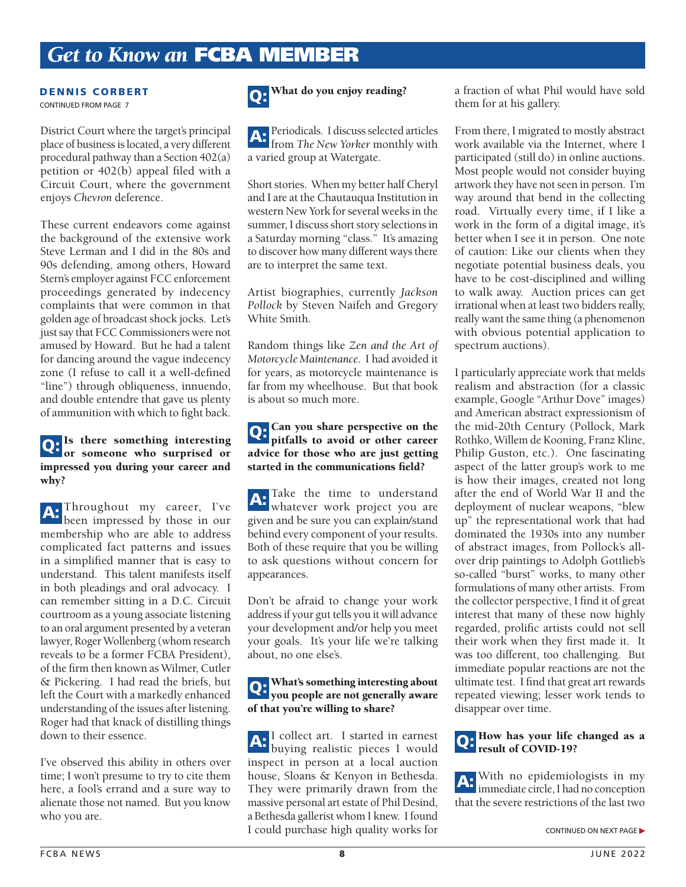# *Get to Know an* FCBA MEMBER

#### DENNIS CORBERT CONTINUED FROM PAGE 7

District Court where the target's principal place of business is located, a very different procedural pathway than a Section 402(a) petition or 402(b) appeal filed with a Circuit Court, where the government enjoys *Chevron* deference.

These current endeavors come against the background of the extensive work Steve Lerman and I did in the 80s and 90s defending, among others, Howard Stern's employer against FCC enforcement proceedings generated by indecency complaints that were common in that golden age of broadcast shock jocks. Let's just say that FCC Commissioners were not amused by Howard. But he had a talent for dancing around the vague indecency zone (I refuse to call it a well-defined "line") through obliqueness, innuendo, and double entendre that gave us plenty of ammunition with which to fight back.

### Q: Is there something interesting<br>or someone who surprised or impressed you during your career and why?

A: Throughout my career, I've been impressed by those in our membership who are able to address complicated fact patterns and issues in a simplified manner that is easy to understand. This talent manifests itself in both pleadings and oral advocacy. I can remember sitting in a D.C. Circuit courtroom as a young associate listening to an oral argument presented by a veteran lawyer, Roger Wollenberg (whom research reveals to be a former FCBA President), of the firm then known as Wilmer, Cutler & Pickering. I had read the briefs, but left the Court with a markedly enhanced understanding of the issues after listening. Roger had that knack of distilling things down to their essence.

I've observed this ability in others over time; I won't presume to try to cite them here, a fool's errand and a sure way to alienate those not named. But you know who you are.

## Q: What do you enjoy reading?

A: Periodicals. I discuss selected articles from *The New Yorker* monthly with a varied group at Watergate.

Short stories. When my better half Cheryl and I are at the Chautauqua Institution in western New York for several weeks in the summer, I discuss short story selections in a Saturday morning "class." It's amazing to discover how many different ways there are to interpret the same text.

Artist biographies, currently *Jackson Pollock* by Steven Naifeh and Gregory White Smith.

Random things like *Zen and the Art of Motorcycle Maintenance*. I had avoided it for years, as motorcycle maintenance is far from my wheelhouse. But that book is about so much more.

### Q: Can you share perspective on the pitfalls to avoid or other career advice for those who are just getting started in the communications field?

A: Take the time to understand<br>whatever work project you are given and be sure you can explain/stand behind every component of your results. Both of these require that you be willing to ask questions without concern for appearances.

Don't be afraid to change your work address if your gut tells you it will advance your development and/or help you meet your goals. It's your life we're talking about, no one else's.

## Q: What's something interesting about<br>you people are not generally aware of that you're willing to share?

A: I collect art. I started in earnest<br>buying realistic pieces I would inspect in person at a local auction house, Sloans & Kenyon in Bethesda. They were primarily drawn from the massive personal art estate of Phil Desind, a Bethesda gallerist whom I knew. I found I could purchase high quality works for

a fraction of what Phil would have sold them for at his gallery.

From there, I migrated to mostly abstract work available via the Internet, where I participated (still do) in online auctions. Most people would not consider buying artwork they have not seen in person. I'm way around that bend in the collecting road. Virtually every time, if I like a work in the form of a digital image, it's better when I see it in person. One note of caution: Like our clients when they negotiate potential business deals, you have to be cost-disciplined and willing to walk away. Auction prices can get irrational when at least two bidders really, really want the same thing (a phenomenon with obvious potential application to spectrum auctions).

I particularly appreciate work that melds realism and abstraction (for a classic example, Google "Arthur Dove" images) and American abstract expressionism of the mid-20th Century (Pollock, Mark Rothko, Willem de Kooning, Franz Kline, Philip Guston, etc.). One fascinating aspect of the latter group's work to me is how their images, created not long after the end of World War II and the deployment of nuclear weapons, "blew up" the representational work that had dominated the 1930s into any number of abstract images, from Pollock's allover drip paintings to Adolph Gottlieb's so-called "burst" works, to many other formulations of many other artists. From the collector perspective, I find it of great interest that many of these now highly regarded, prolific artists could not sell their work when they first made it. It was too different, too challenging. But immediate popular reactions are not the ultimate test. I find that great art rewards repeated viewing; lesser work tends to disappear over time.

# Q: How has your life changed as a result of COVID-19?

A: With no epidemiologists in my immediate circle, I had no conception that the severe restrictions of the last two

CONTINUED ON NEXT PAGE